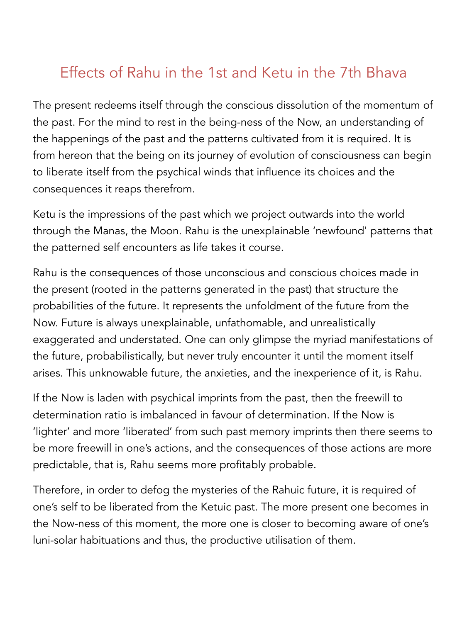## Effects of Rahu in the 1st and Ketu in the 7th Bhava

The present redeems itself through the conscious dissolution of the momentum of the past. For the mind to rest in the being-ness of the Now, an understanding of the happenings of the past and the patterns cultivated from it is required. It is from hereon that the being on its journey of evolution of consciousness can begin to liberate itself from the psychical winds that influence its choices and the consequences it reaps therefrom.

Ketu is the impressions of the past which we project outwards into the world through the Manas, the Moon. Rahu is the unexplainable 'newfound' patterns that the patterned self encounters as life takes it course.

Rahu is the consequences of those unconscious and conscious choices made in the present (rooted in the patterns generated in the past) that structure the probabilities of the future. It represents the unfoldment of the future from the Now. Future is always unexplainable, unfathomable, and unrealistically exaggerated and understated. One can only glimpse the myriad manifestations of the future, probabilistically, but never truly encounter it until the moment itself arises. This unknowable future, the anxieties, and the inexperience of it, is Rahu.

If the Now is laden with psychical imprints from the past, then the freewill to determination ratio is imbalanced in favour of determination. If the Now is 'lighter' and more 'liberated' from such past memory imprints then there seems to be more freewill in one's actions, and the consequences of those actions are more predictable, that is, Rahu seems more profitably probable.

Therefore, in order to defog the mysteries of the Rahuic future, it is required of one's self to be liberated from the Ketuic past. The more present one becomes in the Now-ness of this moment, the more one is closer to becoming aware of one's luni-solar habituations and thus, the productive utilisation of them.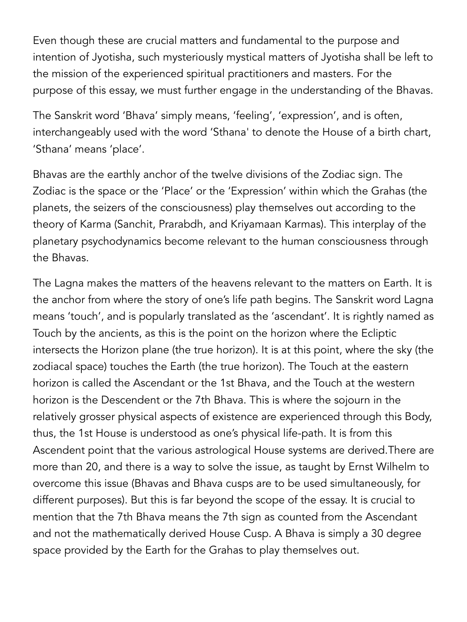Even though these are crucial matters and fundamental to the purpose and intention of Jyotisha, such mysteriously mystical matters of Jyotisha shall be left to the mission of the experienced spiritual practitioners and masters. For the purpose of this essay, we must further engage in the understanding of the Bhavas.

The Sanskrit word 'Bhava' simply means, 'feeling', 'expression', and is often, interchangeably used with the word 'Sthana' to denote the House of a birth chart, 'Sthana' means 'place'.

Bhavas are the earthly anchor of the twelve divisions of the Zodiac sign. The Zodiac is the space or the 'Place' or the 'Expression' within which the Grahas (the planets, the seizers of the consciousness) play themselves out according to the theory of Karma (Sanchit, Prarabdh, and Kriyamaan Karmas). This interplay of the planetary psychodynamics become relevant to the human consciousness through the Bhavas.

The Lagna makes the matters of the heavens relevant to the matters on Earth. It is the anchor from where the story of one's life path begins. The Sanskrit word Lagna means 'touch', and is popularly translated as the 'ascendant'. It is rightly named as Touch by the ancients, as this is the point on the horizon where the Ecliptic intersects the Horizon plane (the true horizon). It is at this point, where the sky (the zodiacal space) touches the Earth (the true horizon). The Touch at the eastern horizon is called the Ascendant or the 1st Bhava, and the Touch at the western horizon is the Descendent or the 7th Bhava. This is where the sojourn in the relatively grosser physical aspects of existence are experienced through this Body, thus, the 1st House is understood as one's physical life-path. It is from this Ascendent point that the various astrological House systems are derived.There are more than 20, and there is a way to solve the issue, as taught by Ernst Wilhelm to overcome this issue (Bhavas and Bhava cusps are to be used simultaneously, for different purposes). But this is far beyond the scope of the essay. It is crucial to mention that the 7th Bhava means the 7th sign as counted from the Ascendant and not the mathematically derived House Cusp. A Bhava is simply a 30 degree space provided by the Earth for the Grahas to play themselves out.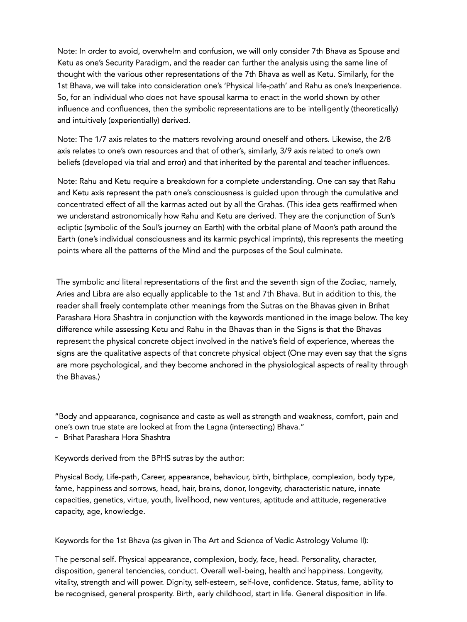Note: In order to avoid, overwhelm and confusion, we will only consider 7th Bhava as Spouse and Ketu as one's Security Paradigm, and the reader can further the analysis using the same line of thought with the various other representations of the 7th Bhava as well as Ketu. Similarly, for the 1st Bhava, we will take into consideration one's 'Physical life-path' and Rahu as one's Inexperience. So, for an individual who does not have spousal karma to enact in the world shown by other influence and confluences, then the symbolic representations are to be intelligently (theoretically) and intuitively (experientially) derived.

Note: The 1/7 axis relates to the matters revolving around oneself and others. Likewise, the 2/8 axis relates to one's own resources and that of other's, similarly, 3/9 axis related to one's own beliefs (developed via trial and error) and that inherited by the parental and teacher influences.

Note: Rahu and Ketu require a breakdown for a complete understanding. One can say that Rahu and Ketu axis represent the path one's consciousness is guided upon through the cumulative and concentrated effect of all the karmas acted out by all the Grahas. (This idea gets reaffirmed when we understand astronomically how Rahu and Ketu are derived. They are the conjunction of Sun's ecliptic (symbolic of the Soul's journey on Earth) with the orbital plane of Moon's path around the Earth (one's individual consciousness and its karmic psychical imprints), this represents the meeting points where all the patterns of the Mind and the purposes of the Soul culminate.

The symbolic and literal representations of the first and the seventh sign of the Zodiac, namely, Aries and Libra are also equally applicable to the 1st and 7th Bhava. But in addition to this, the reader shall freely contemplate other meanings from the Sutras on the Bhavas given in Brihat Parashara Hora Shashtra in conjunction with the keywords mentioned in the image below. The key difference while assessing Ketu and Rahu in the Bhavas than in the Signs is that the Bhavas represent the physical concrete object involved in the native's field of experience, whereas the signs are the qualitative aspects of that concrete physical object (One may even say that the signs are more psychological, and they become anchored in the physiological aspects of reality through the Bhavas.)

"Body and appearance, cognisance and caste as well as strength and weakness, comfort, pain and one's own true state are looked at from the Lagna (intersecting) Bhava." - Brihat Parashara Hora Shashtra

Keywords derived from the BPHS sutras by the author:

Physical Body, Life-path, Career, appearance, behaviour, birth, birthplace, complexion, body type, fame, happiness and sorrows, head, hair, brains, donor, longevity, characteristic nature, innate capacities, genetics, virtue, youth, livelihood, new ventures, aptitude and attitude, regenerative capacity, age, knowledge.

Keywords for the 1st Bhava (as given in The Art and Science of Vedic Astrology Volume II):

The personal self. Physical appearance, complexion, body, face, head. Personality, character, disposition, general tendencies, conduct. Overall well-being, health and happiness. Longevity, vitality, strength and will power. Dignity, self-esteem, self-love, confidence. Status, fame, ability to be recognised, general prosperity. Birth, early childhood, start in life. General disposition in life.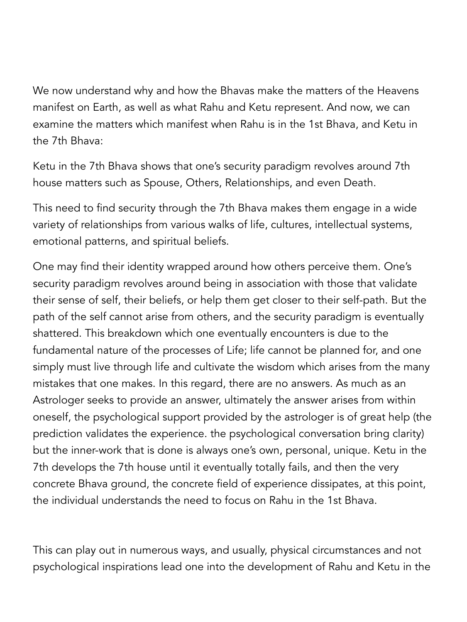We now understand why and how the Bhavas make the matters of the Heavens manifest on Earth, as well as what Rahu and Ketu represent. And now, we can examine the matters which manifest when Rahu is in the 1st Bhava, and Ketu in the 7th Bhava:

Ketu in the 7th Bhava shows that one's security paradigm revolves around 7th house matters such as Spouse, Others, Relationships, and even Death.

This need to find security through the 7th Bhava makes them engage in a wide variety of relationships from various walks of life, cultures, intellectual systems, emotional patterns, and spiritual beliefs.

One may find their identity wrapped around how others perceive them. One's security paradigm revolves around being in association with those that validate their sense of self, their beliefs, or help them get closer to their self-path. But the path of the self cannot arise from others, and the security paradigm is eventually shattered. This breakdown which one eventually encounters is due to the fundamental nature of the processes of Life; life cannot be planned for, and one simply must live through life and cultivate the wisdom which arises from the many mistakes that one makes. In this regard, there are no answers. As much as an Astrologer seeks to provide an answer, ultimately the answer arises from within oneself, the psychological support provided by the astrologer is of great help (the prediction validates the experience. the psychological conversation bring clarity) but the inner-work that is done is always one's own, personal, unique. Ketu in the 7th develops the 7th house until it eventually totally fails, and then the very concrete Bhava ground, the concrete field of experience dissipates, at this point, the individual understands the need to focus on Rahu in the 1st Bhava.

This can play out in numerous ways, and usually, physical circumstances and not psychological inspirations lead one into the development of Rahu and Ketu in the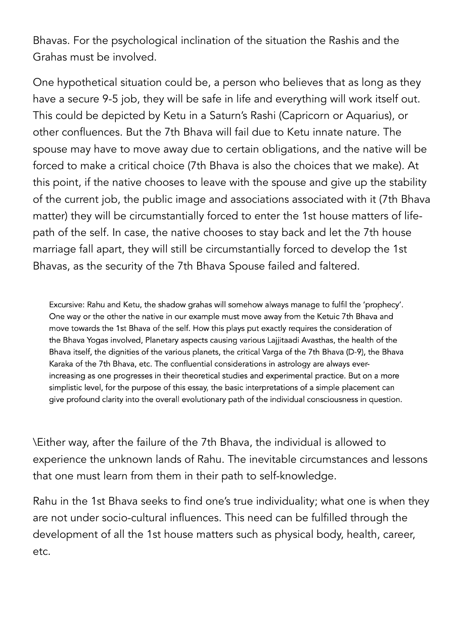Bhavas. For the psychological inclination of the situation the Rashis and the Grahas must be involved.

One hypothetical situation could be, a person who believes that as long as they have a secure 9-5 job, they will be safe in life and everything will work itself out. This could be depicted by Ketu in a Saturn's Rashi (Capricorn or Aquarius), or other confluences. But the 7th Bhava will fail due to Ketu innate nature. The spouse may have to move away due to certain obligations, and the native will be forced to make a critical choice (7th Bhava is also the choices that we make). At this point, if the native chooses to leave with the spouse and give up the stability of the current job, the public image and associations associated with it (7th Bhava matter) they will be circumstantially forced to enter the 1st house matters of lifepath of the self. In case, the native chooses to stay back and let the 7th house marriage fall apart, they will still be circumstantially forced to develop the 1st Bhavas, as the security of the 7th Bhava Spouse failed and faltered.

Excursive: Rahu and Ketu, the shadow grahas will somehow always manage to fulfil the 'prophecy'. One way or the other the native in our example must move away from the Ketuic 7th Bhava and move towards the 1st Bhava of the self. How this plays put exactly requires the consideration of the Bhava Yogas involved, Planetary aspects causing various Lajjitaadi Avasthas, the health of the Bhava itself, the dignities of the various planets, the critical Varga of the 7th Bhava (D-9), the Bhava Karaka of the 7th Bhava, etc. The confluential considerations in astrology are always everincreasing as one progresses in their theoretical studies and experimental practice. But on a more simplistic level, for the purpose of this essay, the basic interpretations of a simple placement can give profound clarity into the overall evolutionary path of the individual consciousness in question.

\Either way, after the failure of the 7th Bhava, the individual is allowed to experience the unknown lands of Rahu. The inevitable circumstances and lessons that one must learn from them in their path to self-knowledge.

Rahu in the 1st Bhava seeks to find one's true individuality; what one is when they are not under socio-cultural influences. This need can be fulfilled through the development of all the 1st house matters such as physical body, health, career, etc.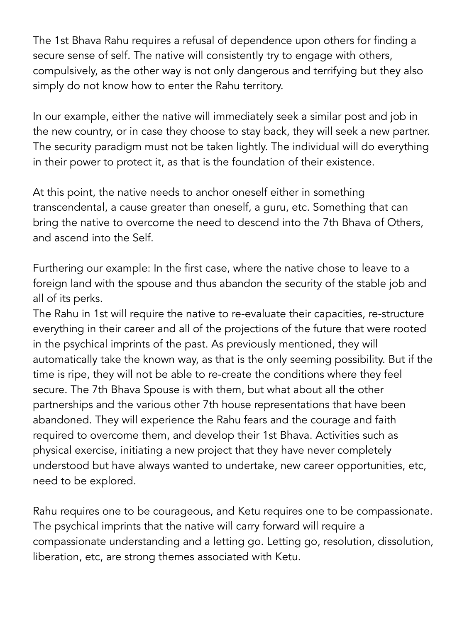The 1st Bhava Rahu requires a refusal of dependence upon others for finding a secure sense of self. The native will consistently try to engage with others, compulsively, as the other way is not only dangerous and terrifying but they also simply do not know how to enter the Rahu territory.

In our example, either the native will immediately seek a similar post and job in the new country, or in case they choose to stay back, they will seek a new partner. The security paradigm must not be taken lightly. The individual will do everything in their power to protect it, as that is the foundation of their existence.

At this point, the native needs to anchor oneself either in something transcendental, a cause greater than oneself, a guru, etc. Something that can bring the native to overcome the need to descend into the 7th Bhava of Others, and ascend into the Self.

Furthering our example: In the first case, where the native chose to leave to a foreign land with the spouse and thus abandon the security of the stable job and all of its perks.

The Rahu in 1st will require the native to re-evaluate their capacities, re-structure everything in their career and all of the projections of the future that were rooted in the psychical imprints of the past. As previously mentioned, they will automatically take the known way, as that is the only seeming possibility. But if the time is ripe, they will not be able to re-create the conditions where they feel secure. The 7th Bhava Spouse is with them, but what about all the other partnerships and the various other 7th house representations that have been abandoned. They will experience the Rahu fears and the courage and faith required to overcome them, and develop their 1st Bhava. Activities such as physical exercise, initiating a new project that they have never completely understood but have always wanted to undertake, new career opportunities, etc, need to be explored.

Rahu requires one to be courageous, and Ketu requires one to be compassionate. The psychical imprints that the native will carry forward will require a compassionate understanding and a letting go. Letting go, resolution, dissolution, liberation, etc, are strong themes associated with Ketu.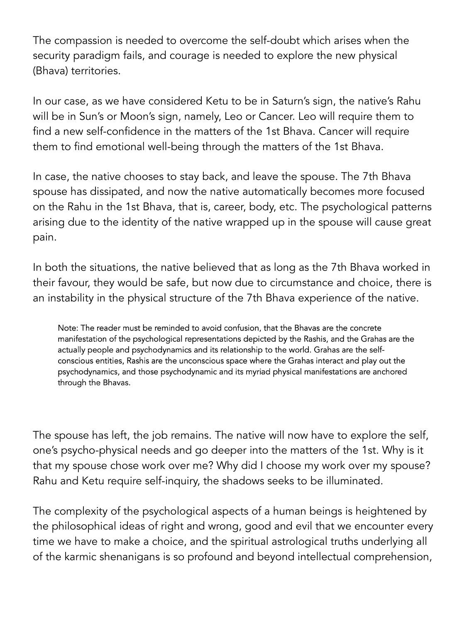The compassion is needed to overcome the self-doubt which arises when the security paradigm fails, and courage is needed to explore the new physical (Bhava) territories.

In our case, as we have considered Ketu to be in Saturn's sign, the native's Rahu will be in Sun's or Moon's sign, namely, Leo or Cancer. Leo will require them to find a new self-confidence in the matters of the 1st Bhava. Cancer will require them to find emotional well-being through the matters of the 1st Bhava.

In case, the native chooses to stay back, and leave the spouse. The 7th Bhava spouse has dissipated, and now the native automatically becomes more focused on the Rahu in the 1st Bhava, that is, career, body, etc. The psychological patterns arising due to the identity of the native wrapped up in the spouse will cause great pain.

In both the situations, the native believed that as long as the 7th Bhava worked in their favour, they would be safe, but now due to circumstance and choice, there is an instability in the physical structure of the 7th Bhava experience of the native.

Note: The reader must be reminded to avoid confusion, that the Bhavas are the concrete manifestation of the psychological representations depicted by the Rashis, and the Grahas are the actually people and psychodynamics and its relationship to the world. Grahas are the selfconscious entities, Rashis are the unconscious space where the Grahas interact and play out the psychodynamics, and those psychodynamic and its myriad physical manifestations are anchored through the Bhavas.

The spouse has left, the job remains. The native will now have to explore the self, one's psycho-physical needs and go deeper into the matters of the 1st. Why is it that my spouse chose work over me? Why did I choose my work over my spouse? Rahu and Ketu require self-inquiry, the shadows seeks to be illuminated.

The complexity of the psychological aspects of a human beings is heightened by the philosophical ideas of right and wrong, good and evil that we encounter every time we have to make a choice, and the spiritual astrological truths underlying all of the karmic shenanigans is so profound and beyond intellectual comprehension,